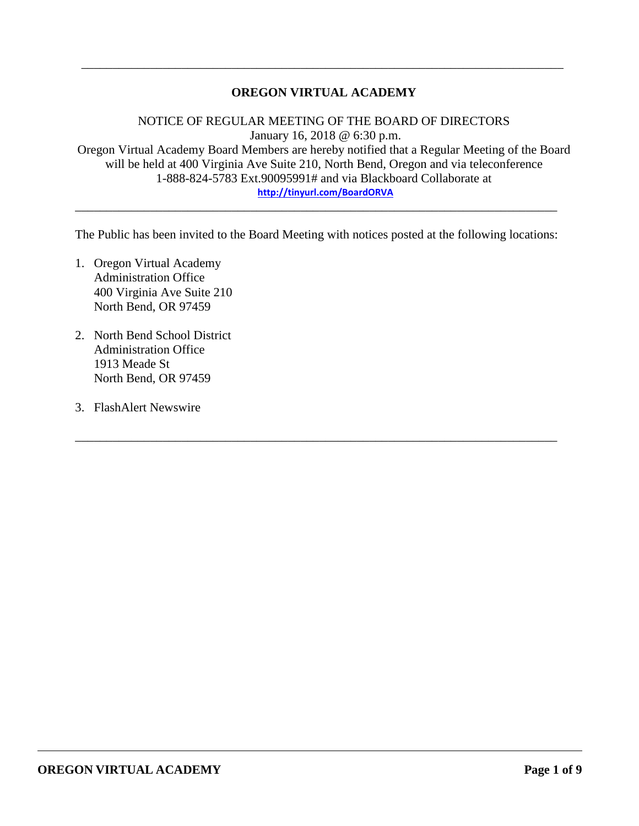### **OREGON VIRTUAL ACADEMY**

\_\_\_\_\_\_\_\_\_\_\_\_\_\_\_\_\_\_\_\_\_\_\_\_\_\_\_\_\_\_\_\_\_\_\_\_\_\_\_\_\_\_\_\_\_\_\_\_\_\_\_\_\_\_\_\_\_\_\_\_\_\_\_\_\_\_\_\_\_\_\_\_\_\_\_\_\_

NOTICE OF REGULAR MEETING OF THE BOARD OF DIRECTORS January 16, 2018 @ 6:30 p.m. Oregon Virtual Academy Board Members are hereby notified that a Regular Meeting of the Board will be held at 400 Virginia Ave Suite 210, North Bend, Oregon and via teleconference 1-888-824-5783 Ext.90095991# and via Blackboard Collaborate at **<http://tinyurl.com/BoardORVA>**

The Public has been invited to the Board Meeting with notices posted at the following locations:

\_\_\_\_\_\_\_\_\_\_\_\_\_\_\_\_\_\_\_\_\_\_\_\_\_\_\_\_\_\_\_\_\_\_\_\_\_\_\_\_\_\_\_\_\_\_\_\_\_\_\_\_\_\_\_\_\_\_\_\_\_\_\_\_\_\_\_\_\_\_\_\_\_\_\_\_\_

\_\_\_\_\_\_\_\_\_\_\_\_\_\_\_\_\_\_\_\_\_\_\_\_\_\_\_\_\_\_\_\_\_\_\_\_\_\_\_\_\_\_\_\_\_\_\_\_\_\_\_\_\_\_\_\_\_\_\_\_\_\_\_\_\_\_\_\_\_\_\_\_\_\_\_\_\_

- 1. Oregon Virtual Academy Administration Office 400 Virginia Ave Suite 210 North Bend, OR 97459
- 2. North Bend School District Administration Office 1913 Meade St North Bend, OR 97459
- 3. FlashAlert Newswire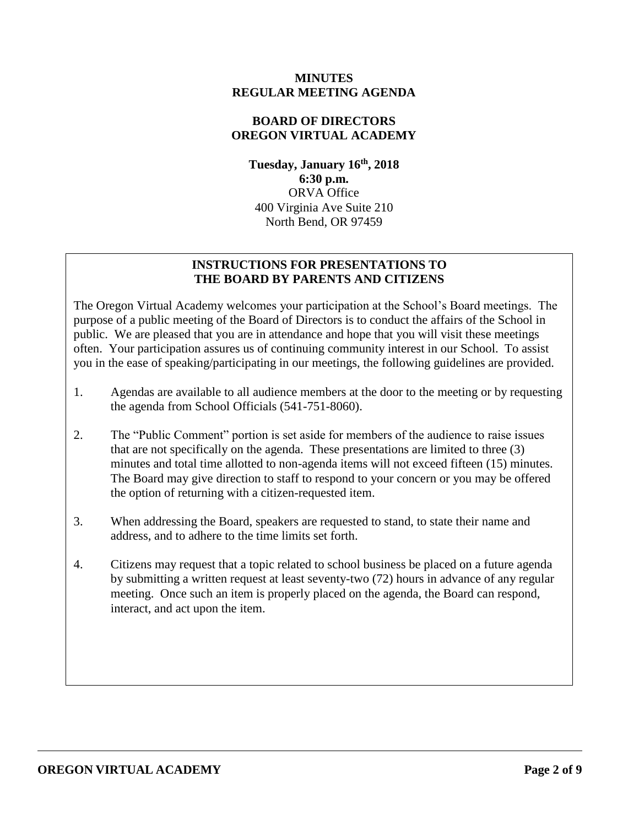### **MINUTES REGULAR MEETING AGENDA**

## **BOARD OF DIRECTORS OREGON VIRTUAL ACADEMY**

**Tuesday, January 16th , 2018 6:30 p.m.** ORVA Office 400 Virginia Ave Suite 210 North Bend, OR 97459

## **INSTRUCTIONS FOR PRESENTATIONS TO THE BOARD BY PARENTS AND CITIZENS**

The Oregon Virtual Academy welcomes your participation at the School's Board meetings. The purpose of a public meeting of the Board of Directors is to conduct the affairs of the School in public. We are pleased that you are in attendance and hope that you will visit these meetings often. Your participation assures us of continuing community interest in our School. To assist you in the ease of speaking/participating in our meetings, the following guidelines are provided.

- 1. Agendas are available to all audience members at the door to the meeting or by requesting the agenda from School Officials (541-751-8060).
- 2. The "Public Comment" portion is set aside for members of the audience to raise issues that are not specifically on the agenda. These presentations are limited to three (3) minutes and total time allotted to non-agenda items will not exceed fifteen (15) minutes. The Board may give direction to staff to respond to your concern or you may be offered the option of returning with a citizen-requested item.
- 3. When addressing the Board, speakers are requested to stand, to state their name and address, and to adhere to the time limits set forth.
- 4. Citizens may request that a topic related to school business be placed on a future agenda by submitting a written request at least seventy-two (72) hours in advance of any regular meeting. Once such an item is properly placed on the agenda, the Board can respond, interact, and act upon the item.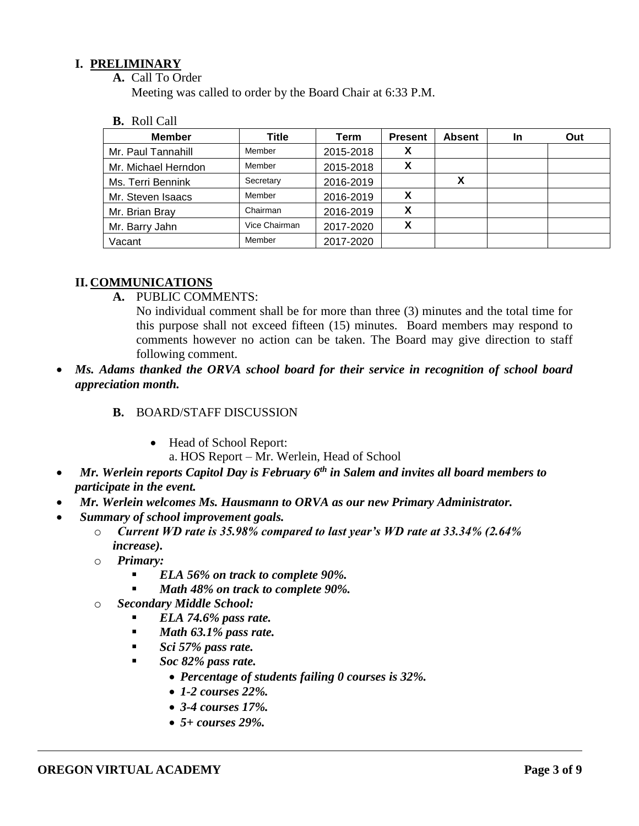### **I. PRELIMINARY**

**A.** Call To Order

Meeting was called to order by the Board Chair at 6:33 P.M.

**B.** Roll Call

| <b>Member</b>       | <b>Title</b>  | Term      | <b>Present</b> | <b>Absent</b> | In | Out |
|---------------------|---------------|-----------|----------------|---------------|----|-----|
| Mr. Paul Tannahill  | Member        | 2015-2018 |                |               |    |     |
| Mr. Michael Herndon | Member        | 2015-2018 | Х              |               |    |     |
| Ms. Terri Bennink   | Secretary     | 2016-2019 |                |               |    |     |
| Mr. Steven Isaacs   | Member        | 2016-2019 |                |               |    |     |
| Mr. Brian Bray      | Chairman      | 2016-2019 | X              |               |    |     |
| Mr. Barry Jahn      | Vice Chairman | 2017-2020 | v<br>$\lambda$ |               |    |     |
| Vacant              | Member        | 2017-2020 |                |               |    |     |

# **II. COMMUNICATIONS**

**A.** PUBLIC COMMENTS:

No individual comment shall be for more than three (3) minutes and the total time for this purpose shall not exceed fifteen (15) minutes. Board members may respond to comments however no action can be taken. The Board may give direction to staff following comment.

 *Ms. Adams thanked the ORVA school board for their service in recognition of school board appreciation month.* 

### **B.** BOARD/STAFF DISCUSSION

• Head of School Report:

a. HOS Report – Mr. Werlein, Head of School

- *Mr. Werlein reports Capitol Day is February 6th in Salem and invites all board members to participate in the event.*
- *Mr. Werlein welcomes Ms. Hausmann to ORVA as our new Primary Administrator.*
- *Summary of school improvement goals.*
	- o *Current WD rate is 35.98% compared to last year's WD rate at 33.34% (2.64% increase).*
	- o *Primary:* 
		- *ELA 56% on track to complete 90%.*
		- *Math 48% on track to complete 90%.*
	- o *Secondary Middle School:*
		- *ELA 74.6% pass rate.*
		- *Math 63.1% pass rate.*
		- *Sci 57% pass rate.*
		- *Soc 82% pass rate.*
			- *Percentage of students failing 0 courses is 32%.*
			- *1-2 courses 22%.*
			- *3-4 courses 17%.*
			- *5+ courses 29%.*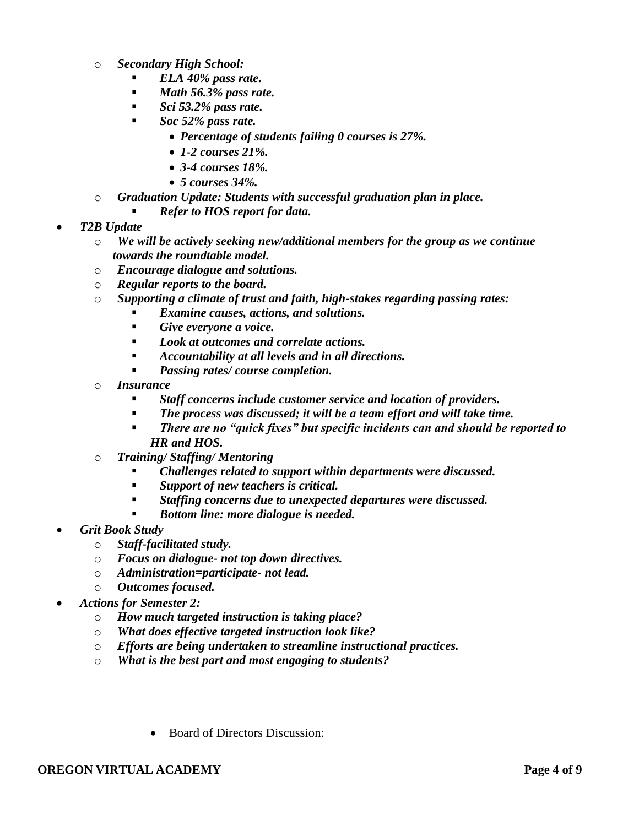- o *Secondary High School:*
	- *ELA 40% pass rate.*
	- *Math 56.3% pass rate.*
	- *Sci 53.2% pass rate.*
	- *Soc 52% pass rate.*
		- *Percentage of students failing 0 courses is 27%.*
		- *1-2 courses 21%.*
		- *3-4 courses 18%.*
		- *5 courses 34%.*
- o *Graduation Update: Students with successful graduation plan in place.*
	- *Refer to HOS report for data.*
- *T2B Update*
	- o *We will be actively seeking new/additional members for the group as we continue towards the roundtable model.*
	- o *Encourage dialogue and solutions.*
	- o *Regular reports to the board.*
	- o *Supporting a climate of trust and faith, high-stakes regarding passing rates:*
		- *Examine causes, actions, and solutions.*
		- *Give everyone a voice.*
		- *Look at outcomes and correlate actions.*
		- *Accountability at all levels and in all directions.*
		- *Passing rates/ course completion.*
	- o *Insurance*
		- *Staff concerns include customer service and location of providers.*
		- *The process was discussed; it will be a team effort and will take time.*
		- *There are no "quick fixes" but specific incidents can and should be reported to HR and HOS.*
	- o *Training/ Staffing/ Mentoring*
		- *Challenges related to support within departments were discussed.*
		- *Support of new teachers is critical.*
		- *Staffing concerns due to unexpected departures were discussed.*
		- *Bottom line: more dialogue is needed.*
- *Grit Book Study*
	- o *Staff-facilitated study.*
	- o *Focus on dialogue- not top down directives.*
	- o *Administration=participate- not lead.*
	- o *Outcomes focused.*
- *Actions for Semester 2:*
	- o *How much targeted instruction is taking place?*
	- o *What does effective targeted instruction look like?*
	- o *Efforts are being undertaken to streamline instructional practices.*
	- o *What is the best part and most engaging to students?*
		- Board of Directors Discussion: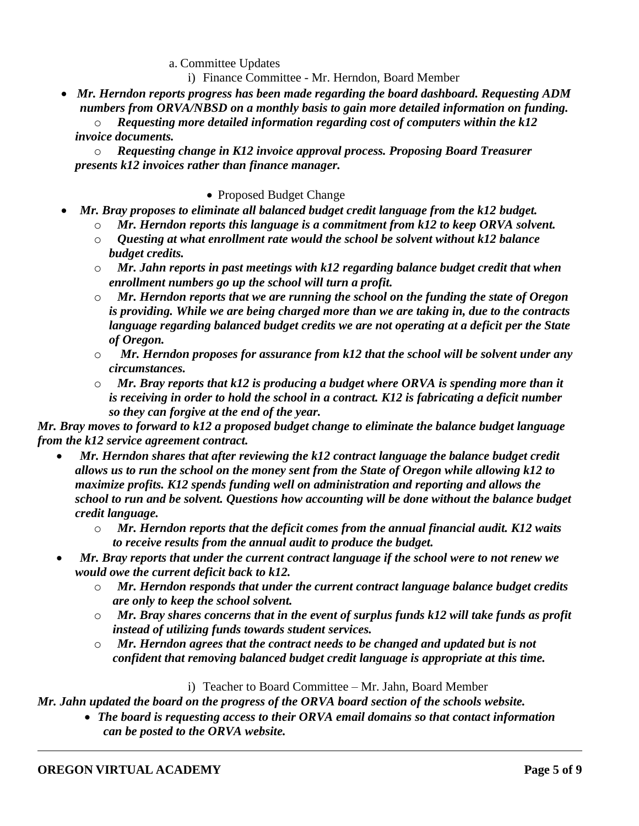a. Committee Updates

i) Finance Committee - Mr. Herndon, Board Member

 *Mr. Herndon reports progress has been made regarding the board dashboard. Requesting ADM numbers from ORVA/NBSD on a monthly basis to gain more detailed information on funding.* 

o *Requesting more detailed information regarding cost of computers within the k12 invoice documents.* 

o *Requesting change in K12 invoice approval process. Proposing Board Treasurer presents k12 invoices rather than finance manager.* 

### • Proposed Budget Change

- *Mr. Bray proposes to eliminate all balanced budget credit language from the k12 budget.* 
	- o *Mr. Herndon reports this language is a commitment from k12 to keep ORVA solvent.*
	- o *Questing at what enrollment rate would the school be solvent without k12 balance budget credits.*
	- o *Mr. Jahn reports in past meetings with k12 regarding balance budget credit that when enrollment numbers go up the school will turn a profit.*
	- o *Mr. Herndon reports that we are running the school on the funding the state of Oregon is providing. While we are being charged more than we are taking in, due to the contracts language regarding balanced budget credits we are not operating at a deficit per the State of Oregon.*
	- o *Mr. Herndon proposes for assurance from k12 that the school will be solvent under any circumstances.*
	- o *Mr. Bray reports that k12 is producing a budget where ORVA is spending more than it is receiving in order to hold the school in a contract. K12 is fabricating a deficit number so they can forgive at the end of the year.*

*Mr. Bray moves to forward to k12 a proposed budget change to eliminate the balance budget language from the k12 service agreement contract.* 

- *Mr. Herndon shares that after reviewing the k12 contract language the balance budget credit allows us to run the school on the money sent from the State of Oregon while allowing k12 to maximize profits. K12 spends funding well on administration and reporting and allows the school to run and be solvent. Questions how accounting will be done without the balance budget credit language.* 
	- o *Mr. Herndon reports that the deficit comes from the annual financial audit. K12 waits to receive results from the annual audit to produce the budget.*
- *Mr. Bray reports that under the current contract language if the school were to not renew we would owe the current deficit back to k12.*
	- o *Mr. Herndon responds that under the current contract language balance budget credits are only to keep the school solvent.*
	- o *Mr. Bray shares concerns that in the event of surplus funds k12 will take funds as profit instead of utilizing funds towards student services.*
	- o *Mr. Herndon agrees that the contract needs to be changed and updated but is not confident that removing balanced budget credit language is appropriate at this time.*

i) Teacher to Board Committee – Mr. Jahn, Board Member

*Mr. Jahn updated the board on the progress of the ORVA board section of the schools website.*

 *The board is requesting access to their ORVA email domains so that contact information can be posted to the ORVA website.*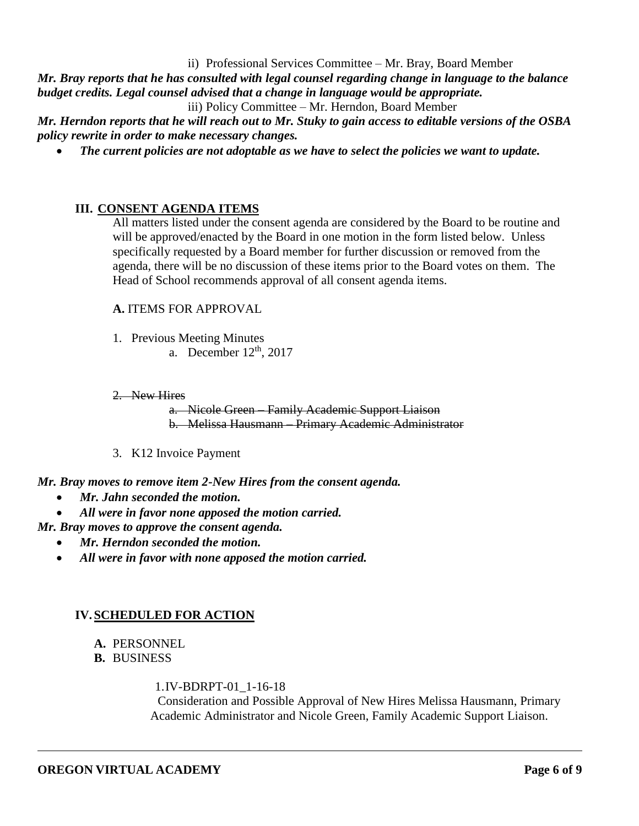ii) Professional Services Committee – Mr. Bray, Board Member

*Mr. Bray reports that he has consulted with legal counsel regarding change in language to the balance budget credits. Legal counsel advised that a change in language would be appropriate.* 

iii) Policy Committee – Mr. Herndon, Board Member

*Mr. Herndon reports that he will reach out to Mr. Stuky to gain access to editable versions of the OSBA policy rewrite in order to make necessary changes.* 

*The current policies are not adoptable as we have to select the policies we want to update.*

#### **III. CONSENT AGENDA ITEMS**

All matters listed under the consent agenda are considered by the Board to be routine and will be approved/enacted by the Board in one motion in the form listed below. Unless specifically requested by a Board member for further discussion or removed from the agenda, there will be no discussion of these items prior to the Board votes on them. The Head of School recommends approval of all consent agenda items.

#### **A.** ITEMS FOR APPROVAL

- 1. Previous Meeting Minutes
	- a. December  $12<sup>th</sup>$ , 2017
- 2. New Hires

a. Nicole Green – Family Academic Support Liaison b. Melissa Hausmann – Primary Academic Administrator

3. K12 Invoice Payment

*Mr. Bray moves to remove item 2-New Hires from the consent agenda.* 

- *Mr. Jahn seconded the motion.*
- *All were in favor none apposed the motion carried.*

#### *Mr. Bray moves to approve the consent agenda.*

- *Mr. Herndon seconded the motion.*
- *All were in favor with none apposed the motion carried.*

#### **IV.SCHEDULED FOR ACTION**

- **A.** PERSONNEL
- **B.** BUSINESS

#### 1.IV-BDRPT-01\_1-16-18

Consideration and Possible Approval of New Hires Melissa Hausmann, Primary Academic Administrator and Nicole Green, Family Academic Support Liaison.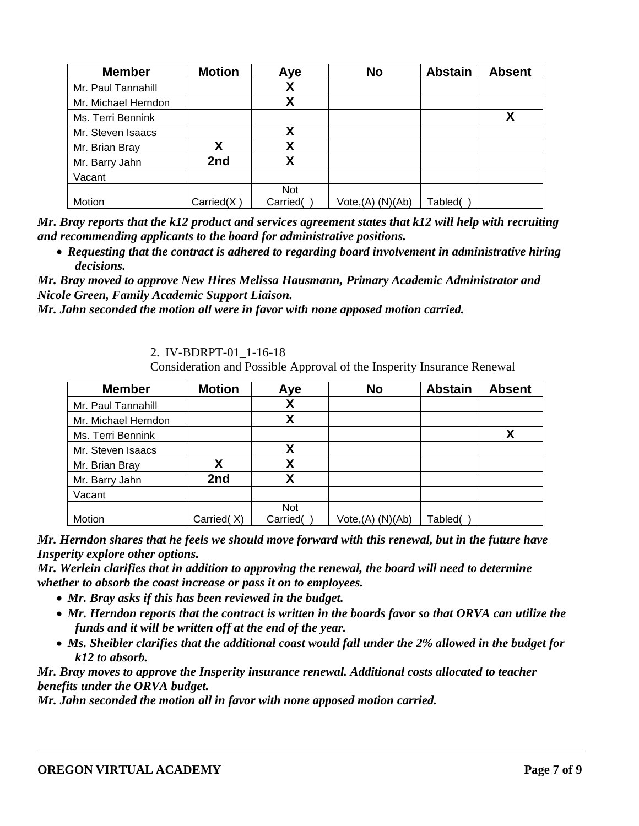| <b>Member</b>       | <b>Motion</b> | Aye        | <b>No</b>                     | <b>Abstain</b> | <b>Absent</b> |
|---------------------|---------------|------------|-------------------------------|----------------|---------------|
| Mr. Paul Tannahill  |               |            |                               |                |               |
| Mr. Michael Herndon |               | χ          |                               |                |               |
| Ms. Terri Bennink   |               |            |                               |                | Χ             |
| Mr. Steven Isaacs   |               | χ          |                               |                |               |
| Mr. Brian Bray      |               | Χ          |                               |                |               |
| Mr. Barry Jahn      | 2nd           | Χ          |                               |                |               |
| Vacant              |               |            |                               |                |               |
|                     |               | <b>Not</b> |                               |                |               |
| Motion              | Carried(X)    | Carried(   | Vote <sub>1</sub> (A) (N)(Ab) | Tabled(        |               |

*Mr. Bray reports that the k12 product and services agreement states that k12 will help with recruiting and recommending applicants to the board for administrative positions.* 

 *Requesting that the contract is adhered to regarding board involvement in administrative hiring decisions.* 

*Mr. Bray moved to approve New Hires Melissa Hausmann, Primary Academic Administrator and Nicole Green, Family Academic Support Liaison.*

*Mr. Jahn seconded the motion all were in favor with none apposed motion carried.* 

2. IV-BDRPT-01\_1-16-18

Consideration and Possible Approval of the Insperity Insurance Renewal

| <b>Member</b>       | <b>Motion</b> | Aye        | <b>No</b>                     | <b>Abstain</b> | <b>Absent</b> |
|---------------------|---------------|------------|-------------------------------|----------------|---------------|
| Mr. Paul Tannahill  |               |            |                               |                |               |
| Mr. Michael Herndon |               | χ          |                               |                |               |
| Ms. Terri Bennink   |               |            |                               |                | χ             |
| Mr. Steven Isaacs   |               | Χ          |                               |                |               |
| Mr. Brian Bray      | χ             | χ          |                               |                |               |
| Mr. Barry Jahn      | 2nd           |            |                               |                |               |
| Vacant              |               |            |                               |                |               |
|                     |               | <b>Not</b> |                               |                |               |
| Motion              | Carried(X)    | Carried(   | Vote <sub>1</sub> (A) (N)(Ab) | Tabled(        |               |

*Mr. Herndon shares that he feels we should move forward with this renewal, but in the future have Insperity explore other options.* 

*Mr. Werlein clarifies that in addition to approving the renewal, the board will need to determine whether to absorb the coast increase or pass it on to employees.* 

- *Mr. Bray asks if this has been reviewed in the budget.*
- *Mr. Herndon reports that the contract is written in the boards favor so that ORVA can utilize the funds and it will be written off at the end of the year.*
- *Ms. Sheibler clarifies that the additional coast would fall under the 2% allowed in the budget for k12 to absorb.*

*Mr. Bray moves to approve the Insperity insurance renewal. Additional costs allocated to teacher benefits under the ORVA budget.* 

*Mr. Jahn seconded the motion all in favor with none apposed motion carried.*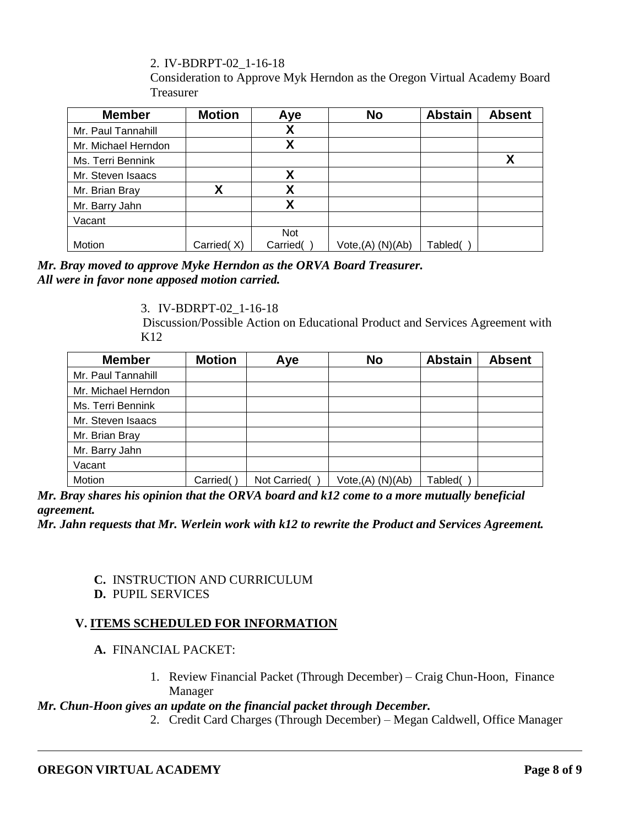2. IV-BDRPT-02\_1-16-18

Consideration to Approve Myk Herndon as the Oregon Virtual Academy Board Treasurer

| <b>Member</b>       | <b>Motion</b> | Aye        | <b>No</b>            | <b>Abstain</b> | <b>Absent</b> |
|---------------------|---------------|------------|----------------------|----------------|---------------|
| Mr. Paul Tannahill  |               | Χ          |                      |                |               |
| Mr. Michael Herndon |               | χ          |                      |                |               |
| Ms. Terri Bennink   |               |            |                      |                | X             |
| Mr. Steven Isaacs   |               | χ          |                      |                |               |
| Mr. Brian Bray      | Χ             | v          |                      |                |               |
| Mr. Barry Jahn      |               | χ          |                      |                |               |
| Vacant              |               |            |                      |                |               |
|                     |               | <b>Not</b> |                      |                |               |
| Motion              | Carried(X)    | Carried(   | $Vote,(A)$ $(N)(Ab)$ | Tabled(        |               |

*Mr. Bray moved to approve Myke Herndon as the ORVA Board Treasurer. All were in favor none apposed motion carried.* 

## 3. IV-BDRPT-02\_1-16-18

Discussion/Possible Action on Educational Product and Services Agreement with K12

| <b>Member</b>       | <b>Motion</b> | Aye          | <b>No</b>            | <b>Abstain</b> | <b>Absent</b> |
|---------------------|---------------|--------------|----------------------|----------------|---------------|
| Mr. Paul Tannahill  |               |              |                      |                |               |
| Mr. Michael Herndon |               |              |                      |                |               |
| Ms. Terri Bennink   |               |              |                      |                |               |
| Mr. Steven Isaacs   |               |              |                      |                |               |
| Mr. Brian Bray      |               |              |                      |                |               |
| Mr. Barry Jahn      |               |              |                      |                |               |
| Vacant              |               |              |                      |                |               |
| Motion              | Carried(      | Not Carried( | $Vote,(A)$ $(N)(Ab)$ | Tabled(        |               |

*Mr. Bray shares his opinion that the ORVA board and k12 come to a more mutually beneficial agreement.*

*Mr. Jahn requests that Mr. Werlein work with k12 to rewrite the Product and Services Agreement.*

## **C.** INSTRUCTION AND CURRICULUM

**D.** PUPIL SERVICES

# **V. ITEMS SCHEDULED FOR INFORMATION**

## **A.** FINANCIAL PACKET:

1. Review Financial Packet (Through December) – Craig Chun-Hoon, Finance Manager

## *Mr. Chun-Hoon gives an update on the financial packet through December.*

2. Credit Card Charges (Through December) – Megan Caldwell, Office Manager